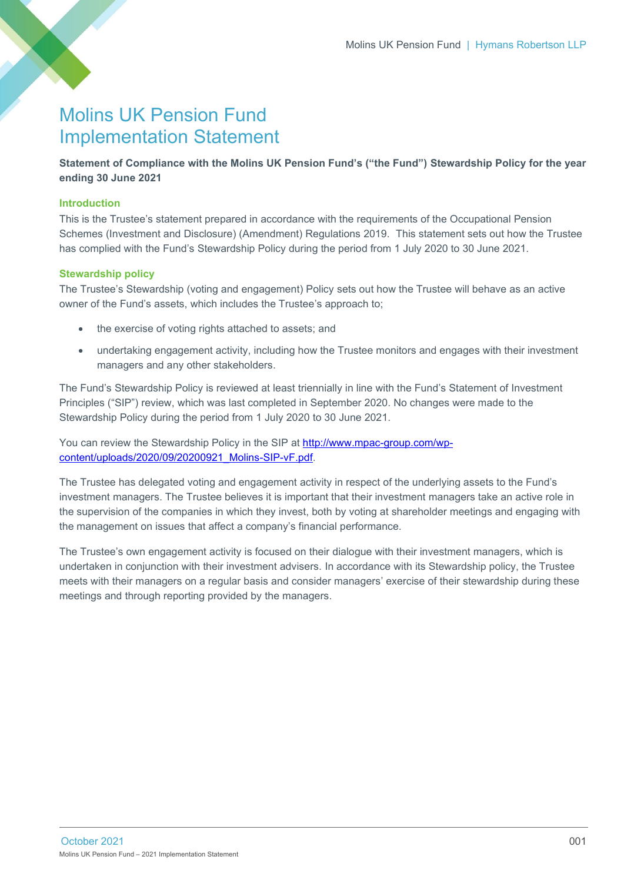# Molins UK Pension Fund Implementation Statement

**Statement of Compliance with the Molins UK Pension Fund's ("the Fund") Stewardship Policy for the year ending 30 June 2021**

# **Introduction**

This is the Trustee's statement prepared in accordance with the requirements of the Occupational Pension Schemes (Investment and Disclosure) (Amendment) Regulations 2019. This statement sets out how the Trustee has complied with the Fund's Stewardship Policy during the period from 1 July 2020 to 30 June 2021.

## **Stewardship policy**

The Trustee's Stewardship (voting and engagement) Policy sets out how the Trustee will behave as an active owner of the Fund's assets, which includes the Trustee's approach to;

- the exercise of voting rights attached to assets; and
- undertaking engagement activity, including how the Trustee monitors and engages with their investment managers and any other stakeholders.

The Fund's Stewardship Policy is reviewed at least triennially in line with the Fund's Statement of Investment Principles ("SIP") review, which was last completed in September 2020. No changes were made to the Stewardship Policy during the period from 1 July 2020 to 30 June 2021.

You can review the Stewardship Policy in the SIP at [http://www.mpac-group.com/wp](http://www.mpac-group.com/wp-content/uploads/2020/09/20200921_Molins-SIP-vF.pdf)[content/uploads/2020/09/20200921\\_Molins-SIP-vF.pdf.](http://www.mpac-group.com/wp-content/uploads/2020/09/20200921_Molins-SIP-vF.pdf)

The Trustee has delegated voting and engagement activity in respect of the underlying assets to the Fund's investment managers. The Trustee believes it is important that their investment managers take an active role in the supervision of the companies in which they invest, both by voting at shareholder meetings and engaging with the management on issues that affect a company's financial performance.

The Trustee's own engagement activity is focused on their dialogue with their investment managers, which is undertaken in conjunction with their investment advisers. In accordance with its Stewardship policy, the Trustee meets with their managers on a regular basis and consider managers' exercise of their stewardship during these meetings and through reporting provided by the managers.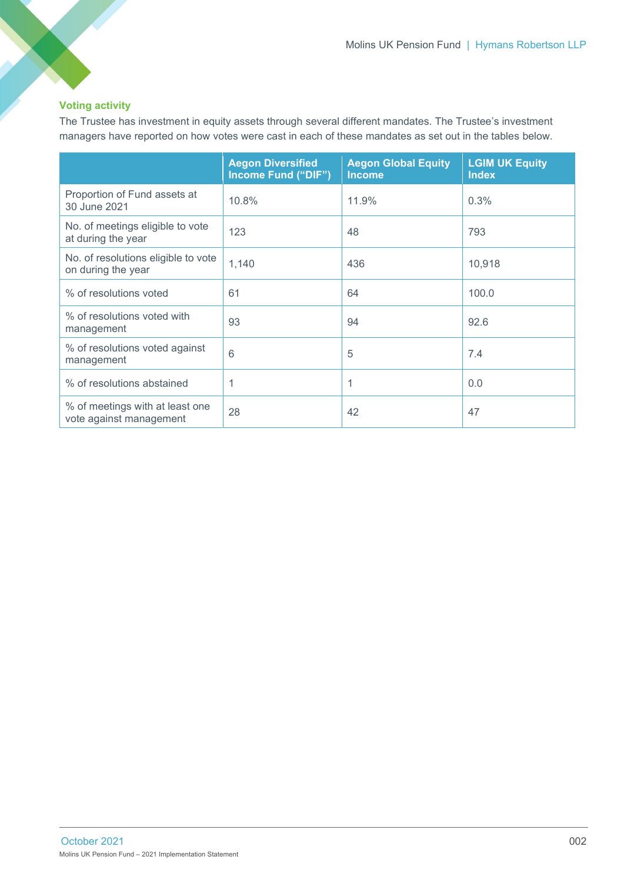# **Voting activity**

The Trustee has investment in equity assets through several different mandates. The Trustee's investment managers have reported on how votes were cast in each of these mandates as set out in the tables below.

|                                                            | <b>Aegon Diversified</b><br>Income Fund ("DIF") | <b>Aegon Global Equity</b><br><b>Income</b> | <b>LGIM UK Equity</b><br><b>Index</b> |
|------------------------------------------------------------|-------------------------------------------------|---------------------------------------------|---------------------------------------|
| Proportion of Fund assets at<br>30 June 2021               | 10.8%                                           | 11.9%                                       | 0.3%                                  |
| No. of meetings eligible to vote<br>at during the year     | 123                                             | 48                                          | 793                                   |
| No. of resolutions eligible to vote<br>on during the year  | 1,140                                           | 436                                         | 10,918                                |
| % of resolutions voted                                     | 61                                              | 64                                          | 100.0                                 |
| % of resolutions voted with<br>management                  | 93                                              | 94                                          | 92.6                                  |
| % of resolutions voted against<br>management               | 6                                               | 5                                           | 7.4                                   |
| % of resolutions abstained                                 | 1                                               | 1                                           | 0.0                                   |
| % of meetings with at least one<br>vote against management | 28                                              | 42                                          | 47                                    |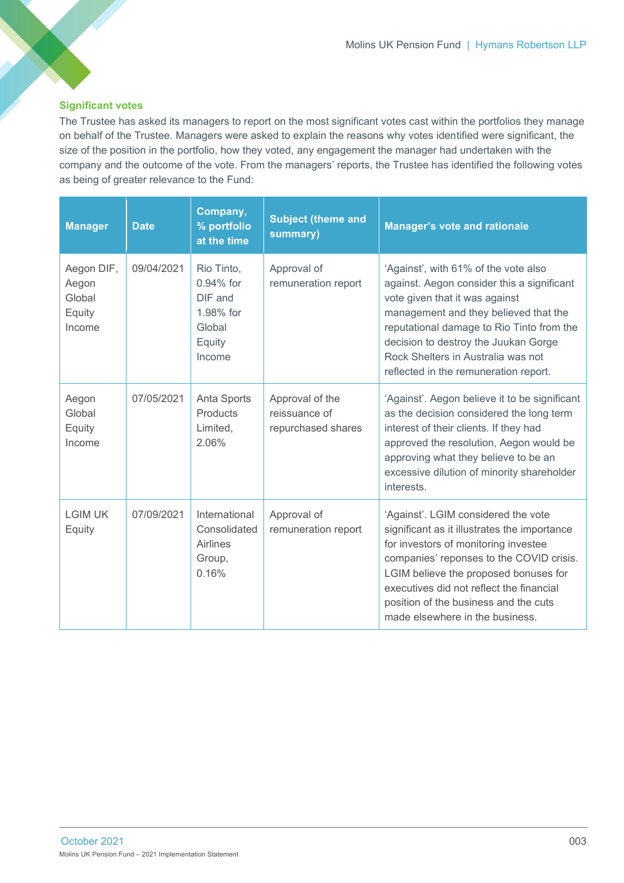## **Significant votes**

The Trustee has asked its managers to report on the most significant votes cast within the portfolios they manage on behalf of the Trustee. Managers were asked to explain the reasons why votes identified were significant, the size of the position in the portfolio, how they voted, any engagement the manager had undertaken with the company and the outcome of the vote. From the managers' reports, the Trustee has identified the following votes as being of greater relevance to the Fund:

| <b>Manager</b>                                    | <b>Date</b> | Company,<br>% portfolio<br>at the time                                           | <b>Subject (theme and</b><br>summary)                  | <b>Manager's vote and rationale</b>                                                                                                                                                                                                                                                                                                      |
|---------------------------------------------------|-------------|----------------------------------------------------------------------------------|--------------------------------------------------------|------------------------------------------------------------------------------------------------------------------------------------------------------------------------------------------------------------------------------------------------------------------------------------------------------------------------------------------|
| Aegon DIF,<br>Aegon<br>Global<br>Equity<br>Income | 09/04/2021  | Rio Tinto,<br>$0.94\%$ for<br>DIF and<br>1.98% for<br>Global<br>Equity<br>Income | Approval of<br>remuneration report                     | 'Against', with 61% of the vote also<br>against. Aegon consider this a significant<br>vote given that it was against<br>management and they believed that the<br>reputational damage to Rio Tinto from the<br>decision to destroy the Juukan Gorge<br>Rock Shelters in Australia was not<br>reflected in the remuneration report.        |
| Aegon<br>Global<br>Equity<br>Income               | 07/05/2021  | Anta Sports<br>Products<br>Limited,<br>2.06%                                     | Approval of the<br>reissuance of<br>repurchased shares | 'Against'. Aegon believe it to be significant<br>as the decision considered the long term<br>interest of their clients. If they had<br>approved the resolution, Aegon would be<br>approving what they believe to be an<br>excessive dilution of minority shareholder<br>interests.                                                       |
| <b>LGIM UK</b><br>Equity                          | 07/09/2021  | International<br>Consolidated<br>Airlines<br>Group,<br>0.16%                     | Approval of<br>remuneration report                     | 'Against'. LGIM considered the vote<br>significant as it illustrates the importance<br>for investors of monitoring investee<br>companies' reponses to the COVID crisis.<br>LGIM believe the proposed bonuses for<br>executives did not reflect the financial<br>position of the business and the cuts<br>made elsewhere in the business. |